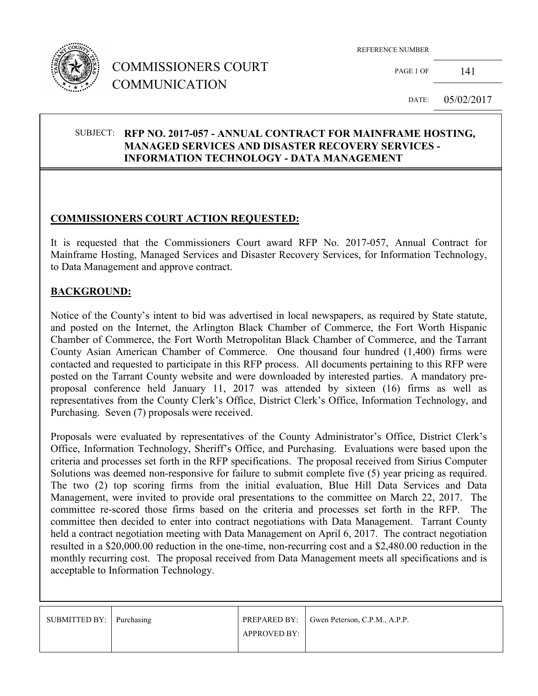

## COMMISSIONERS COURT COMMUNICATION

REFERENCE NUMBER

PAGE 1 OF 141

DATE: 05/02/2017

#### SUBJECT: **RFP NO. 2017-057 - ANNUAL CONTRACT FOR MAINFRAME HOSTING, MANAGED SERVICES AND DISASTER RECOVERY SERVICES - INFORMATION TECHNOLOGY - DATA MANAGEMENT**

## **COMMISSIONERS COURT ACTION REQUESTED:**

It is requested that the Commissioners Court award RFP No. 2017-057, Annual Contract for Mainframe Hosting, Managed Services and Disaster Recovery Services, for Information Technology, to Data Management and approve contract.

#### **BACKGROUND:**

Notice of the County's intent to bid was advertised in local newspapers, as required by State statute, and posted on the Internet, the Arlington Black Chamber of Commerce, the Fort Worth Hispanic Chamber of Commerce, the Fort Worth Metropolitan Black Chamber of Commerce, and the Tarrant County Asian American Chamber of Commerce. One thousand four hundred (1,400) firms were contacted and requested to participate in this RFP process. All documents pertaining to this RFP were posted on the Tarrant County website and were downloaded by interested parties. A mandatory preproposal conference held January 11, 2017 was attended by sixteen (16) firms as well as representatives from the County Clerk's Office, District Clerk's Office, Information Technology, and Purchasing. Seven (7) proposals were received.

Proposals were evaluated by representatives of the County Administrator's Office, District Clerk's Office, Information Technology, Sheriff's Office, and Purchasing. Evaluations were based upon the criteria and processes set forth in the RFP specifications. The proposal received from Sirius Computer Solutions was deemed non-responsive for failure to submit complete five (5) year pricing as required. The two (2) top scoring firms from the initial evaluation, Blue Hill Data Services and Data Management, were invited to provide oral presentations to the committee on March 22, 2017. The committee re-scored those firms based on the criteria and processes set forth in the RFP. The committee then decided to enter into contract negotiations with Data Management. Tarrant County held a contract negotiation meeting with Data Management on April 6, 2017. The contract negotiation resulted in a \$20,000.00 reduction in the one-time, non-recurring cost and a \$2,480.00 reduction in the monthly recurring cost. The proposal received from Data Management meets all specifications and is acceptable to Information Technology.

| SUBMITTED BY:   Purchasing |                     | <b>PREPARED BY:</b> Gwen Peterson, C.P.M., A.P.P. |
|----------------------------|---------------------|---------------------------------------------------|
|                            | <b>APPROVED BY:</b> |                                                   |